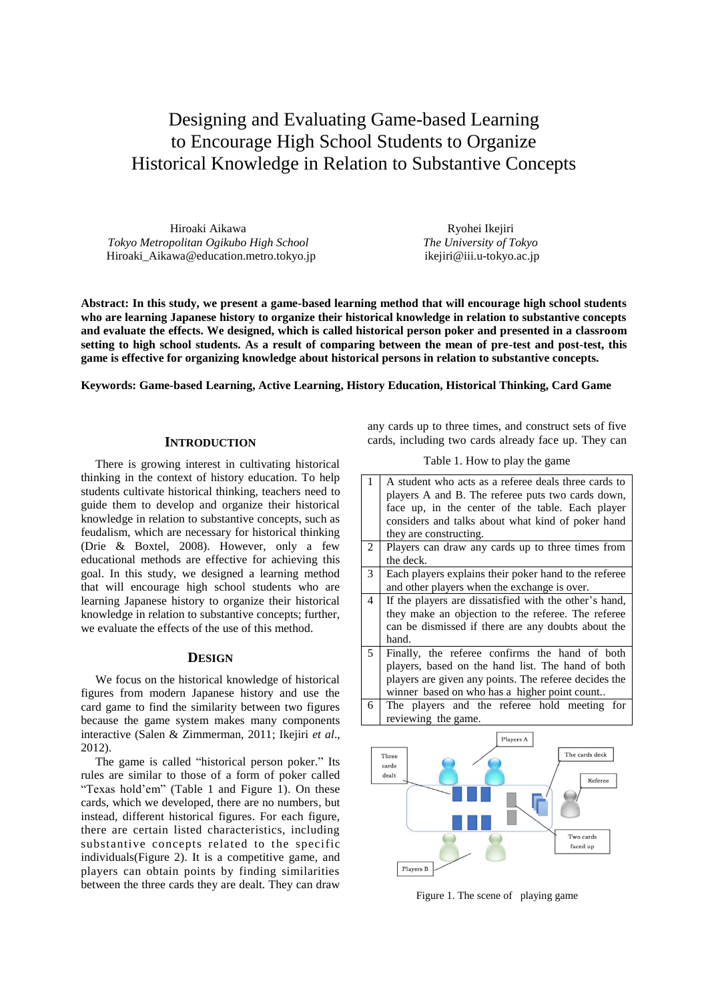# Designing and Evaluating Game-based Learning to Encourage High School Students to Organize Historical Knowledge in Relation to Substantive Concepts

Hiroaki Aikawa *Tokyo Metropolitan Ogikubo High School* [Hiroaki\\_Aikawa@education.metro.tokyo.jp](mailto:Hiroaki_Aikawa@education.metro.tokyo.jp)

Ryohei Ikejiri *The University of Tokyo* ikejiri@iii.u-tokyo.ac.jp

**Abstract: In this study, we present a game-based learning method that will encourage high school students who are learning Japanese history to organize their historical knowledge in relation to substantive concepts and evaluate the effects. We designed, which is called historical person poker and presented in a classroom setting to high school students. As a result of comparing between the mean of pre-test and post-test, this game is effective for organizing knowledge about historical persons in relation to substantive concepts.**

#### **Keywords: Game-based Learning, Active Learning, History Education, Historical Thinking, Card Game**

# **INTRODUCTION**

There is growing interest in cultivating historical thinking in the context of history education. To help students cultivate historical thinking, teachers need to guide them to develop and organize their historical knowledge in relation to substantive concepts, such as feudalism, which are necessary for historical thinking (Drie & Boxtel, 2008). However, only a few educational methods are effective for achieving this goal. In this study, we designed a learning method that will encourage high school students who are learning Japanese history to organize their historical knowledge in relation to substantive concepts; further, we evaluate the effects of the use of this method.

#### **DESIGN**

We focus on the historical knowledge of historical figures from modern Japanese history and use the card game to find the similarity between two figures because the game system makes many components interactive (Salen & Zimmerman, 2011; Ikejiri *et al*., 2012).

The game is called "historical person poker." Its rules are similar to those of a form of poker called "Texas hold'em" (Table 1 and Figure 1). On these cards, which we developed, there are no numbers, but instead, different historical figures. For each figure, there are certain listed characteristics, including substantive concepts related to the specific individuals(Figure 2). It is a competitive game, and players can obtain points by finding similarities between the three cards they are dealt. They can draw

any cards up to three times, and construct sets of five cards, including two cards already face up. They can

Table 1. How to play the game

1 A student who acts as a referee deals three cards to players A and B. The referee puts two cards down, face up, in the center of the table. Each player considers and talks about what kind of poker hand they are constructing. 2 Players can draw any cards up to three times from the deck. 3 Each players explains their poker hand to the referee and other players when the exchange is over. 4 If the players are dissatisfied with the other's hand, they make an objection to the referee. The referee can be dismissed if there are any doubts about the hand. 5 Finally, the referee confirms the hand of both players, based on the hand list. The hand of both players are given any points. The referee decides the winner based on who has a higher point count.. 6 The players and the referee hold meeting for reviewing the game. Players A The cards deck Three cards dealt Referee Two cards faced up



Figure 1. The scene of playing game